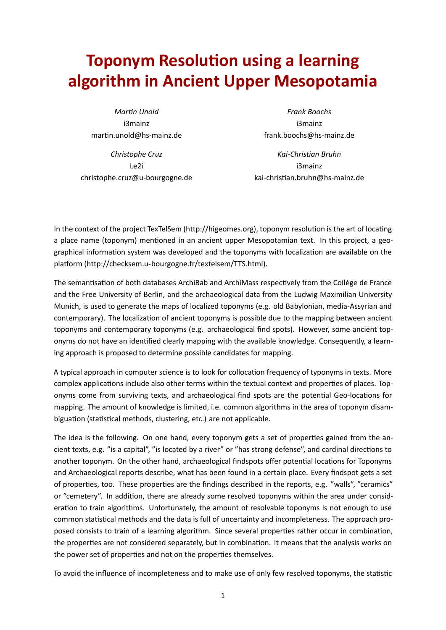## **Toponym Resolution using a learning algorithm in Ancient Upper Mesopotamia**

*MarƟn Unold* i3mainz martin.unold@hs-mainz.de

*Christophe Cruz* Le2i christophe.cruz@u-bourgogne.de

*Frank Boochs* i3mainz frank.boochs@hs-mainz.de

*Kai-ChrisƟan Bruhn* i3mainz kai-chrisƟan.bruhn@hs-mainz.de

In the context of the project TexTelSem (http://higeomes.org), toponym resolution is the art of locating a place name (toponym) mentioned in an ancient upper Mesopotamian text. In this project, a geographical information system was developed and the toponyms with localization are available on the platform (http://checksem.u-bourgogne.fr/textelsem/TTS.html).

The semantisation of both databases ArchiBab and ArchiMass respectively from the Collège de France and the Free University of Berlin, and the archaeological data from the Ludwig Maximilian University Munich, is used to generate the maps of localized toponyms (e.g. old Babylonian, media-Assyrian and contemporary). The localization of ancient toponyms is possible due to the mapping between ancient toponyms and contemporary toponyms (e.g. archaeological find spots). However, some ancient toponyms do not have an identified clearly mapping with the available knowledge. Consequently, a learning approach is proposed to determine possible candidates for mapping.

A typical approach in computer science is to look for collocation frequency of typonyms in texts. More complex applications include also other terms within the textual context and properties of places. Toponyms come from surviving texts, and archaeological find spots are the potential Geo-locations for mapping. The amount of knowledge is limited, i.e. common algorithms in the area of toponym disambiguation (statistical methods, clustering, etc.) are not applicable.

The idea is the following. On one hand, every toponym gets a set of properties gained from the ancient texts, e.g. "is a capital", "is located by a river" or "has strong defense", and cardinal directions to another toponym. On the other hand, archaeological findspots offer potential locations for Toponyms and Archaeological reports describe, what has been found in a certain place. Every findspot gets a set of properties, too. These properties are the findings described in the reports, e.g. "walls", "ceramics" or "cemetery". In addition, there are already some resolved toponyms within the area under consideration to train algorithms. Unfortunately, the amount of resolvable toponyms is not enough to use common statistical methods and the data is full of uncertainty and incompleteness. The approach proposed consists to train of a learning algorithm. Since several properties rather occur in combination, the properties are not considered separately, but in combination. It means that the analysis works on the power set of properties and not on the properties themselves.

To avoid the influence of incompleteness and to make use of only few resolved toponyms, the statistic